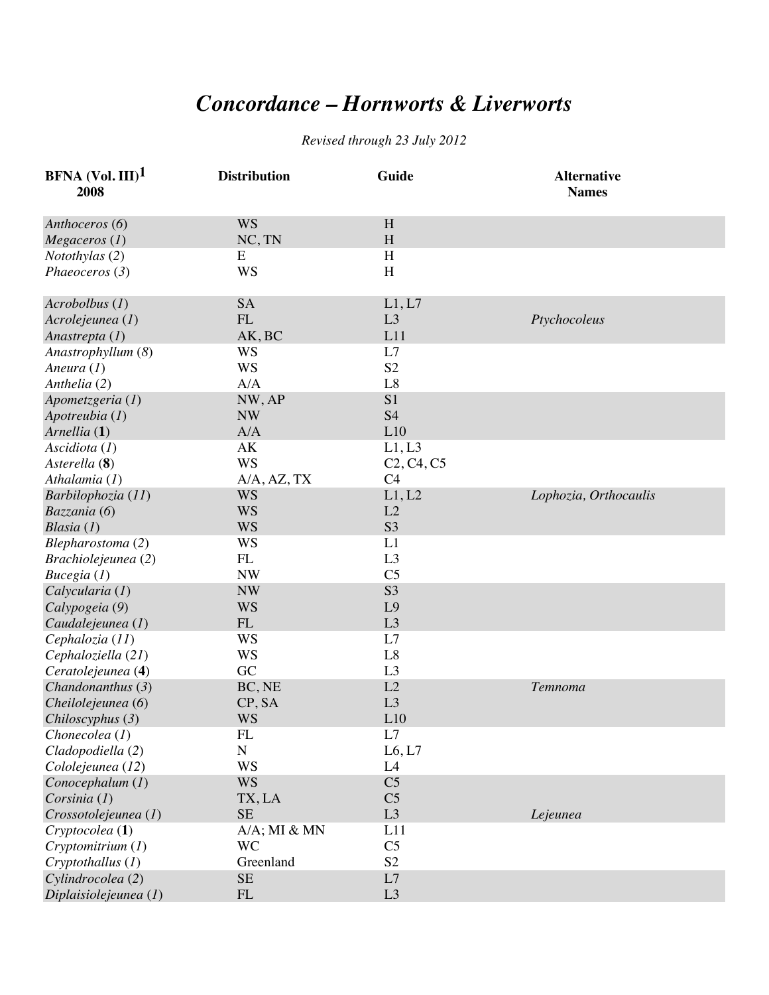## *Concordance – Hornworts & Liverworts*

## *Revised through 23 July 2012*

| <b>BFNA</b> (Vol. III) <sup>1</sup><br>2008 | <b>Distribution</b> | Guide          | <b>Alternative</b><br><b>Names</b> |
|---------------------------------------------|---------------------|----------------|------------------------------------|
| Anthoceros (6)                              | <b>WS</b>           | H              |                                    |
| Megaceros (1)                               | NC, TN              | H              |                                    |
| Notothylas (2)                              | E                   | H              |                                    |
| Phaeoceros (3)                              | <b>WS</b>           | H              |                                    |
| $Acrobolbus$ (1)                            | <b>SA</b>           | L1, L7         |                                    |
| Acrolejeunea (1)                            | FL                  | L3             | Ptychocoleus                       |
| Anastrepta (1)                              | AK, BC              | L11            |                                    |
| Anastrophyllum (8)                          | WS                  | L7             |                                    |
| Aneura $(I)$                                | <b>WS</b>           | S <sub>2</sub> |                                    |
| Anthelia (2)                                | A/A                 | L8             |                                    |
| Apometzgeria (1)                            | NW, AP              | S1             |                                    |
| Apotreubia (1)                              | <b>NW</b>           | <b>S4</b>      |                                    |
| Arnellia (1)                                | A/A                 | L10            |                                    |
| Ascidiota $(I)$                             | AK                  | L1, L3         |                                    |
| Asterella (8)                               | <b>WS</b>           | $C2, C4, C5$   |                                    |
| Athalamia $(1)$                             | A/A, AZ, TX         | C <sub>4</sub> |                                    |
| Barbilophozia (11)                          | <b>WS</b>           | L1, L2         | Lophozia, Orthocaulis              |
| Bazzania (6)                                | <b>WS</b>           | L2             |                                    |
| Blasia $(1)$                                | <b>WS</b>           | S <sub>3</sub> |                                    |
| Blepharostoma (2)                           | <b>WS</b>           | L1             |                                    |
| Brachiolejeunea (2)                         | FL                  | L <sub>3</sub> |                                    |
| Bucegia $(I)$                               | <b>NW</b>           | C <sub>5</sub> |                                    |
| Calycularia (1)                             | <b>NW</b>           | S <sub>3</sub> |                                    |
| Calypogeia (9)                              | <b>WS</b>           | L <sub>9</sub> |                                    |
| Caudalejeunea (1)                           | FL                  | L3             |                                    |
| Cephalozia (11)                             | <b>WS</b>           | L7             |                                    |
| Cephaloziella (21)                          | <b>WS</b>           | L8             |                                    |
| Ceratolejeunea (4)                          | GC                  | L <sub>3</sub> |                                    |
| Chandonanthus (3)                           | BC, NE              | L2             | Temnoma                            |
| Cheilolejeunea (6)                          | CP, SA              | L3             |                                    |
| Chiloscyphus (3)                            | <b>WS</b>           | L10            |                                    |
| Chonecolea (1)                              | FL                  | L7             |                                    |
| Cladopodiella (2)                           | N                   | L6, L7         |                                    |
| Cololejeunea (12)                           | <b>WS</b>           | L <sub>4</sub> |                                    |
| Conocephalum (1)                            | <b>WS</b>           | C <sub>5</sub> |                                    |
| Corsinia $(I)$                              | TX, LA              | C <sub>5</sub> |                                    |
| Crossotolejeunea (1)                        | <b>SE</b>           | L3             | Lejeunea                           |
| Cryptocolea (1)                             | $A/A$ ; MI $& MN$   | L11            |                                    |
| Cryptomitrium (1)                           | <b>WC</b>           | C <sub>5</sub> |                                    |
| Cryptothallus (1)                           | Greenland           | S <sub>2</sub> |                                    |
| Cylindrocolea (2)                           | <b>SE</b>           | L7             |                                    |
| Diplaisiolejeunea (1)                       | FL                  | L3             |                                    |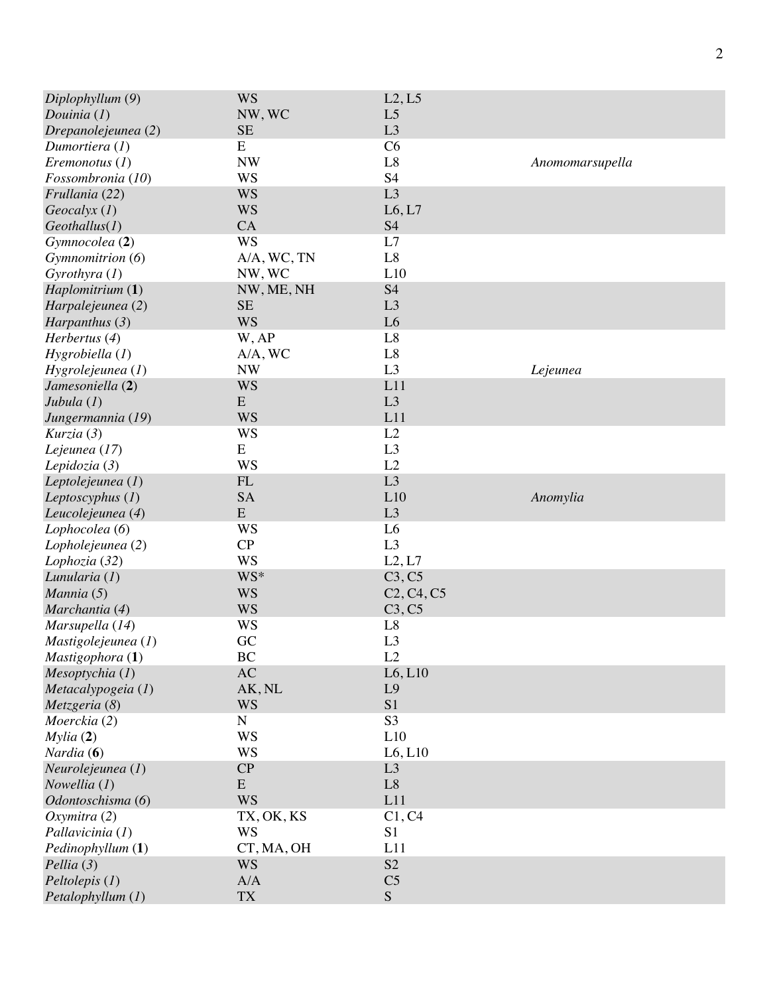| Diplophyllum (9)    | <b>WS</b>   | L2, L5         |                 |
|---------------------|-------------|----------------|-----------------|
| Douinia $(l)$       | NW, WC      | L <sub>5</sub> |                 |
| Drepanolejeunea (2) | <b>SE</b>   | L3             |                 |
| Dumortiera $(I)$    | E           | C6             |                 |
| Eremonotus $(1)$    | <b>NW</b>   | L8             | Anomomarsupella |
| Fossombronia (10)   | <b>WS</b>   | S <sub>4</sub> |                 |
| Frullania (22)      | <b>WS</b>   | L3             |                 |
| $Geocalyx$ (1)      | <b>WS</b>   | L6, L7         |                 |
| Geothallus(I)       | CA          | <b>S4</b>      |                 |
| Gymnocolea (2)      | <b>WS</b>   | L7             |                 |
| Gymnomitrion (6)    | A/A, WC, TN | L8             |                 |
| Gyrothyra $(I)$     | NW, WC      | L10            |                 |
| Haplomitrium (1)    | NW, ME, NH  | <b>S4</b>      |                 |
| Harpalejeunea (2)   | <b>SE</b>   | L3             |                 |
| Harpanthus $(3)$    | <b>WS</b>   | L <sub>6</sub> |                 |
| Herbertus (4)       | W, AP       | L8             |                 |
| Hygrobiella (1)     | A/A, WC     | L8             |                 |
| Hygrolejeunea (1)   | <b>NW</b>   | L3             | Lejeunea        |
| Jamesoniella (2)    | <b>WS</b>   | L11            |                 |
| Jubula $(1)$        | E           | L3             |                 |
| Jungermannia (19)   | <b>WS</b>   | L11            |                 |
| Kurzia (3)          | <b>WS</b>   | L2             |                 |
|                     | E           | L <sub>3</sub> |                 |
| Lejeunea (17)       | <b>WS</b>   | L2             |                 |
| Lepidozia $(3)$     |             |                |                 |
| Leptolejeunea (1)   | FL          | L3             |                 |
| Leptoscyphus $(1)$  | <b>SA</b>   | L10            | Anomylia        |
| Leucolejeunea (4)   | E           | L3             |                 |
| Lophocolea (6)      | WS          | L <sub>6</sub> |                 |
| Lopholejeunea (2)   | CP          | L3             |                 |
| Lophozia (32)       | <b>WS</b>   | L2, L7         |                 |
| Lunularia $(I)$     | WS*         | C3, C5         |                 |
| Mannia (5)          | <b>WS</b>   | $C2, C4, C5$   |                 |
| Marchantia (4)      | <b>WS</b>   | C3, C5         |                 |
| Marsupella (14)     | <b>WS</b>   | L8             |                 |
| Mastigolejeunea (1) | GC          | L <sub>3</sub> |                 |
| Mastigophora (1)    | BC          | L2             |                 |
| Mesoptychia (1)     | AC          | L6, L10        |                 |
| Metacalypogeia (1)  | AK, NL      | L9             |                 |
| Metzgeria (8)       | <b>WS</b>   | S1             |                 |
| Moerckia (2)        | ${\bf N}$   | S <sub>3</sub> |                 |
| Mylia(2)            | <b>WS</b>   | L10            |                 |
| <i>Nardia</i> $(6)$ | <b>WS</b>   | L6, L10        |                 |
| Neurolejeunea (1)   | CP          | L3             |                 |
| Nowellia (1)        | ${\bf E}$   | L8             |                 |
| Odontoschisma (6)   | <b>WS</b>   | L11            |                 |
| Oxymitra(2)         | TX, OK, KS  | C1, C4         |                 |
| Pallavicinia (1)    | <b>WS</b>   | S <sub>1</sub> |                 |
| Pedinophyllum (1)   | CT, MA, OH  | L11            |                 |
| Pellia(3)           | <b>WS</b>   | S2             |                 |
| $Peltolepis$ $(I)$  | A/A         | C <sub>5</sub> |                 |
| Petalophyllum (1)   | <b>TX</b>   | S              |                 |